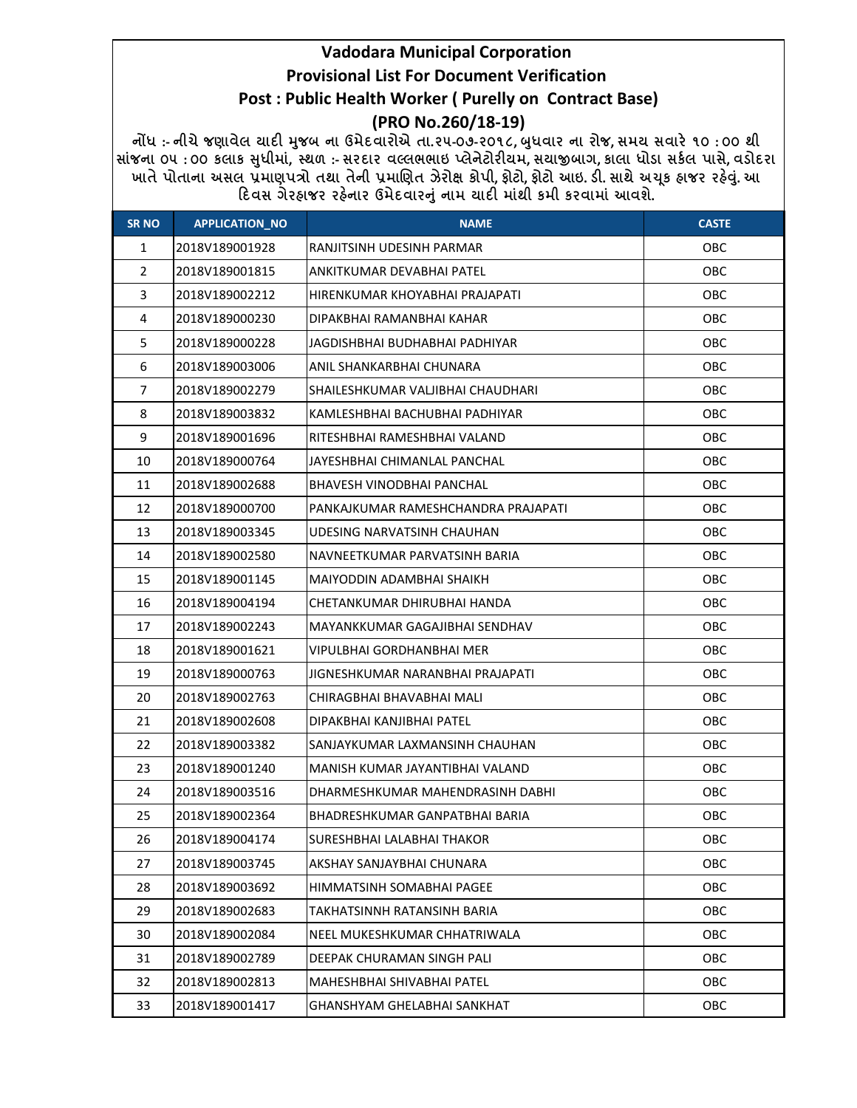## Vadodara Municipal Corporation Provisional List For Document Verification Post : Public Health Worker ( Purelly on Contract Base)

### (PRO No.260/18-19)

નોંધ :- નીચે જણાવેલ ચાદી મુજબ ના ઉમેદવારોએ તા.૨૫-૦૭-૨૦૧૮, બુધવાર ના રોજ, સમય સવારે ૧૦ : ૦૦ થી સાંજના ૦૫ : ૦૦ કલાક સુધીમાં, સ્થળ :- સરદાર વલ્લભભાઇ પ્લેનેટોરીયમ, સચાજીબાગ, કાલા ધોડા સકેલ પાસે, વડોદરા ખાતે પોતાના અસલ પ્રમાણપત્રો તથા તેની પ્રમાણિત ઝેરોક્ષ કોપી, ફોટો, ફોટો આઇ. ડી. સાથે અચૂક હ્રાજર રહેવું. આ દિવસ ગેરહ્રાજર રહેનાર ઉમેદવારનું નામ ચાદી માંથી કમી કરવામાં આવશે.

| <b>SR NO</b>   | <b>APPLICATION_NO</b> | <b>NAME</b>                         | <b>CASTE</b> |
|----------------|-----------------------|-------------------------------------|--------------|
| $\mathbf{1}$   | 2018V189001928        | RANJITSINH UDESINH PARMAR           | OBC          |
| $\overline{2}$ | 2018V189001815        | ANKITKUMAR DEVABHAI PATEL           | OBC          |
| 3              | 2018V189002212        | HIRENKUMAR KHOYABHAI PRAJAPATI      | OBC          |
| 4              | 2018V189000230        | DIPAKBHAI RAMANBHAI KAHAR           | OBC          |
| 5              | 2018V189000228        | JAGDISHBHAI BUDHABHAI PADHIYAR      | OBC          |
| 6              | 2018V189003006        | ANIL SHANKARBHAI CHUNARA            | OBC          |
| $\overline{7}$ | 2018V189002279        | SHAILESHKUMAR VALJIBHAI CHAUDHARI   | OBC          |
| 8              | 2018V189003832        | KAMLESHBHAI BACHUBHAI PADHIYAR      | <b>OBC</b>   |
| 9              | 2018V189001696        | RITESHBHAI RAMESHBHAI VALAND        | OBC          |
| 10             | 2018V189000764        | JAYESHBHAI CHIMANLAL PANCHAL        | OBC          |
| 11             | 2018V189002688        | BHAVESH VINODBHAI PANCHAL           | OBC          |
| 12             | 2018V189000700        | PANKAJKUMAR RAMESHCHANDRA PRAJAPATI | OBC          |
| 13             | 2018V189003345        | UDESING NARVATSINH CHAUHAN          | OBC          |
| 14             | 2018V189002580        | NAVNEETKUMAR PARVATSINH BARIA       | OBC          |
| 15             | 2018V189001145        | MAIYODDIN ADAMBHAI SHAIKH           | OBC          |
| 16             | 2018V189004194        | CHETANKUMAR DHIRUBHAI HANDA         | OBC          |
| 17             | 2018V189002243        | MAYANKKUMAR GAGAJIBHAI SENDHAV      | OBC          |
| 18             | 2018V189001621        | VIPULBHAI GORDHANBHAI MER           | OBC          |
| 19             | 2018V189000763        | JIGNESHKUMAR NARANBHAI PRAJAPATI    | OBC          |
| 20             | 2018V189002763        | CHIRAGBHAI BHAVABHAI MALI           | OBC          |
| 21             | 2018V189002608        | DIPAKBHAI KANJIBHAI PATEL           | OBC          |
| 22             | 2018V189003382        | SANJAYKUMAR LAXMANSINH CHAUHAN      | OBC          |
| 23             | 2018V189001240        | MANISH KUMAR JAYANTIBHAI VALAND     | OBC          |
| 24             | 2018V189003516        | DHARMESHKUMAR MAHENDRASINH DABHI    | OBC          |
| 25             | 2018V189002364        | BHADRESHKUMAR GANPATBHAI BARIA      | OBC          |
| 26             | 2018V189004174        | SURESHBHAI LALABHAI THAKOR          | OBC          |
| 27             | 2018V189003745        | AKSHAY SANJAYBHAI CHUNARA           | <b>OBC</b>   |
| 28             | 2018V189003692        | HIMMATSINH SOMABHAI PAGEE           | OBC          |
| 29             | 2018V189002683        | <b>TAKHATSINNH RATANSINH BARIA</b>  | <b>OBC</b>   |
| 30             | 2018V189002084        | NEEL MUKESHKUMAR CHHATRIWALA        | <b>OBC</b>   |
| 31             | 2018V189002789        | DEEPAK CHURAMAN SINGH PALI          | <b>OBC</b>   |
| 32             | 2018V189002813        | MAHESHBHAI SHIVABHAI PATEL          | <b>OBC</b>   |
| 33             | 2018V189001417        | GHANSHYAM GHELABHAI SANKHAT         | OBC          |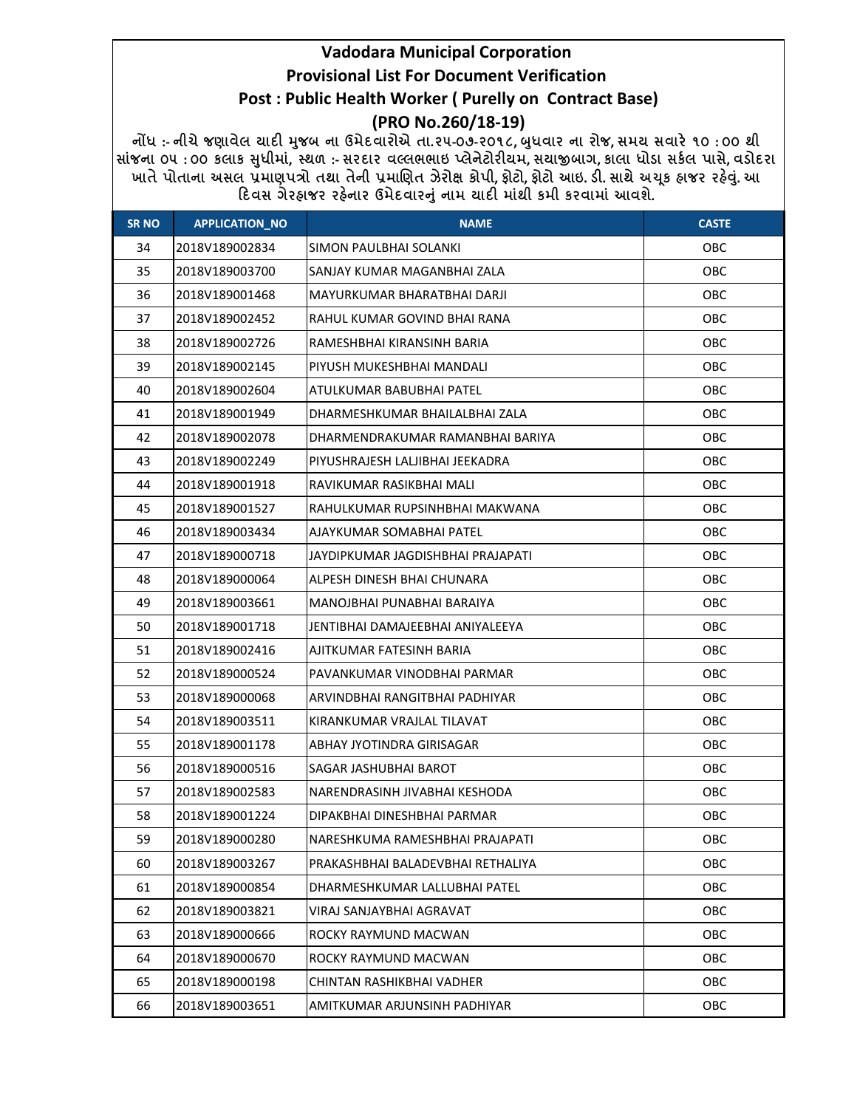# **Vadodara Municipal Corporation Provisional List For Document Verification** Post : Public Health Worker ( Purelly on Contract Base)

(PRO No.260/18-19)

નોંધ :- નીચે જણાવેલ ચાદી મુજબ ના ઉમેદવારોએ તા.૨૫-૦૭-૨૦૧૮, બુધવાર ના રોજ, સમય સવારે ૧૦ : ૦૦ થી સાંજના ૦૫ : ૦૦ કલાક સુધીમાં, સ્થળ :- સરદાર વલ્લભભાઇ પ્લેનેટોરીયમ, સચાજીબાગ, કાલા ધોડા સર્કલ પાસે, વડોદરા ખાતે પોતાના અસલ પ્રમાણપત્રો તથા તેની પ્રમાણિત ઝેરોક્ષ કોપી, ફોટો, ફોટો આઇ. ડી. સાથે અચૂક ફાજર રફેવું. આ દિવસ ગેરહ્યજર રહેનાર ઉમેદવારનું નામ યાદી માંથી કમી કરવામાં આવશે.

| <b>SR NO</b> | <b>APPLICATION_NO</b> | <b>NAME</b>                       | <b>CASTE</b> |
|--------------|-----------------------|-----------------------------------|--------------|
| 34           | 2018V189002834        | SIMON PAULBHAI SOLANKI            | OBC          |
| 35           | 2018V189003700        | SANJAY KUMAR MAGANBHAI ZALA       | OBC          |
| 36           | 2018V189001468        | MAYURKUMAR BHARATBHAI DARJI       | OBC          |
| 37           | 2018V189002452        | RAHUL KUMAR GOVIND BHAI RANA      | OBC          |
| 38           | 2018V189002726        | RAMESHBHAI KIRANSINH BARIA        | OBC          |
| 39           | 2018V189002145        | PIYUSH MUKESHBHAI MANDALI         | OBC          |
| 40           | 2018V189002604        | ATULKUMAR BABUBHAI PATEL          | OBC          |
| 41           | 2018V189001949        | DHARMESHKUMAR BHAILALBHAI ZALA    | OBC          |
| 42           | 2018V189002078        | DHARMENDRAKUMAR RAMANBHAI BARIYA  | OBC          |
| 43           | 2018V189002249        | PIYUSHRAJESH LALJIBHAI JEEKADRA   | OBC          |
| 44           | 2018V189001918        | RAVIKUMAR RASIKBHAI MALI          | OBC          |
| 45           | 2018V189001527        | RAHULKUMAR RUPSINHBHAI MAKWANA    | OBC          |
| 46           | 2018V189003434        | AJAYKUMAR SOMABHAI PATEL          | OBC          |
| 47           | 2018V189000718        | JAYDIPKUMAR JAGDISHBHAI PRAJAPATI | OBC          |
| 48           | 2018V189000064        | ALPESH DINESH BHAI CHUNARA        | OBC          |
| 49           | 2018V189003661        | MANOJBHAI PUNABHAI BARAIYA        | <b>OBC</b>   |
| 50           | 2018V189001718        | JENTIBHAI DAMAJEEBHAI ANIYALEEYA  | OBC          |
| 51           | 2018V189002416        | AJITKUMAR FATESINH BARIA          | OBC          |
| 52           | 2018V189000524        | PAVANKUMAR VINODBHAI PARMAR       | OBC          |
| 53           | 2018V189000068        | ARVINDBHAI RANGITBHAI PADHIYAR    | OBC          |
| 54           | 2018V189003511        | KIRANKUMAR VRAJLAL TILAVAT        | OBC          |
| 55           | 2018V189001178        | ABHAY JYOTINDRA GIRISAGAR         | OBC          |
| 56           | 2018V189000516        | SAGAR JASHUBHAI BAROT             | OBC          |
| 57           | 2018V189002583        | NARENDRASINH JIVABHAI KESHODA     | OBC          |
| 58           | 2018V189001224        | DIPAKBHAI DINESHBHAI PARMAR       | OBC          |
| 59           | 2018V189000280        | NARESHKUMA RAMESHBHAI PRAJAPATI   | OBC          |
| 60           | 2018V189003267        | PRAKASHBHAI BALADEVBHAI RETHALIYA | OBC          |
| 61           | 2018V189000854        | DHARMESHKUMAR LALLUBHAI PATEL     | OBC          |
| 62           | 2018V189003821        | VIRAJ SANJAYBHAI AGRAVAT          | <b>OBC</b>   |
| 63           | 2018V189000666        | ROCKY RAYMUND MACWAN              | <b>OBC</b>   |
| 64           | 2018V189000670        | ROCKY RAYMUND MACWAN              | <b>OBC</b>   |
| 65           | 2018V189000198        | CHINTAN RASHIKBHAI VADHER         | OBC          |
| 66           | 2018V189003651        | AMITKUMAR ARJUNSINH PADHIYAR      | OBC          |